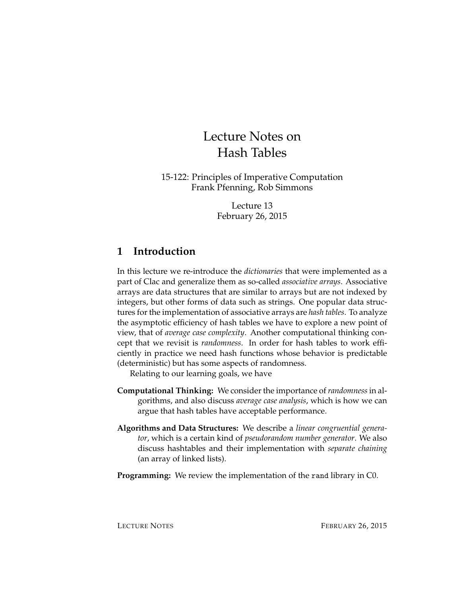# Lecture Notes on Hash Tables

15-122: Principles of Imperative Computation Frank Pfenning, Rob Simmons

> Lecture 13 February 26, 2015

# **1 Introduction**

In this lecture we re-introduce the *dictionaries* that were implemented as a part of Clac and generalize them as so-called *associative arrays*. Associative arrays are data structures that are similar to arrays but are not indexed by integers, but other forms of data such as strings. One popular data structures for the implementation of associative arrays are *hash tables*. To analyze the asymptotic efficiency of hash tables we have to explore a new point of view, that of *average case complexity*. Another computational thinking concept that we revisit is *randomness*. In order for hash tables to work efficiently in practice we need hash functions whose behavior is predictable (deterministic) but has some aspects of randomness.

Relating to our learning goals, we have

- **Computational Thinking:** We consider the importance of*randomness*in algorithms, and also discuss *average case analysis*, which is how we can argue that hash tables have acceptable performance.
- **Algorithms and Data Structures:** We describe a *linear congruential generator*, which is a certain kind of *pseudorandom number generator*. We also discuss hashtables and their implementation with *separate chaining* (an array of linked lists).
- **Programming:** We review the implementation of the rand library in C0.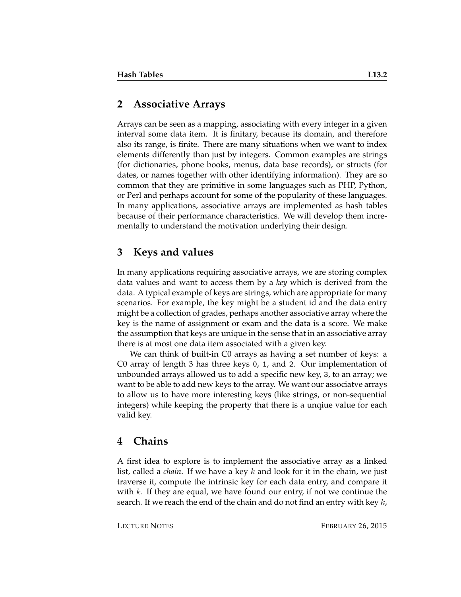### **2 Associative Arrays**

Arrays can be seen as a mapping, associating with every integer in a given interval some data item. It is finitary, because its domain, and therefore also its range, is finite. There are many situations when we want to index elements differently than just by integers. Common examples are strings (for dictionaries, phone books, menus, data base records), or structs (for dates, or names together with other identifying information). They are so common that they are primitive in some languages such as PHP, Python, or Perl and perhaps account for some of the popularity of these languages. In many applications, associative arrays are implemented as hash tables because of their performance characteristics. We will develop them incrementally to understand the motivation underlying their design.

# **3 Keys and values**

In many applications requiring associative arrays, we are storing complex data values and want to access them by a *key* which is derived from the data. A typical example of keys are strings, which are appropriate for many scenarios. For example, the key might be a student id and the data entry might be a collection of grades, perhaps another associative array where the key is the name of assignment or exam and the data is a score. We make the assumption that keys are unique in the sense that in an associative array there is at most one data item associated with a given key.

We can think of built-in C0 arrays as having a set number of keys: a C0 array of length 3 has three keys 0, 1, and 2. Our implementation of unbounded arrays allowed us to add a specific new key, 3, to an array; we want to be able to add new keys to the array. We want our associatve arrays to allow us to have more interesting keys (like strings, or non-sequential integers) while keeping the property that there is a unqiue value for each valid key.

# **4 Chains**

A first idea to explore is to implement the associative array as a linked list, called a *chain*. If we have a key k and look for it in the chain, we just traverse it, compute the intrinsic key for each data entry, and compare it with  $k$ . If they are equal, we have found our entry, if not we continue the search. If we reach the end of the chain and do not find an entry with key  $k$ ,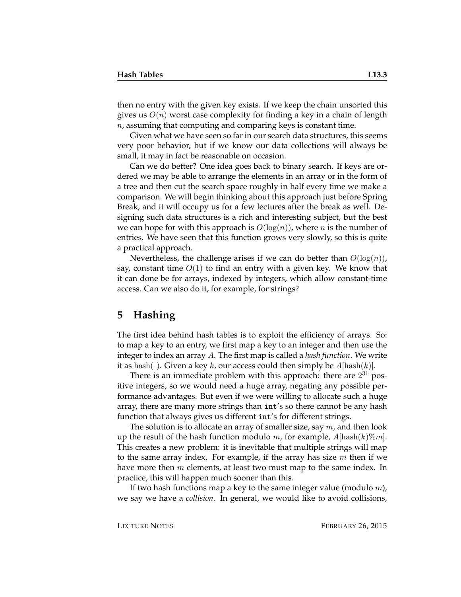then no entry with the given key exists. If we keep the chain unsorted this gives us  $O(n)$  worst case complexity for finding a key in a chain of length  $n$ , assuming that computing and comparing keys is constant time.

Given what we have seen so far in our search data structures, this seems very poor behavior, but if we know our data collections will always be small, it may in fact be reasonable on occasion.

Can we do better? One idea goes back to binary search. If keys are ordered we may be able to arrange the elements in an array or in the form of a tree and then cut the search space roughly in half every time we make a comparison. We will begin thinking about this approach just before Spring Break, and it will occupy us for a few lectures after the break as well. Designing such data structures is a rich and interesting subject, but the best we can hope for with this approach is  $O(log(n))$ , where *n* is the number of entries. We have seen that this function grows very slowly, so this is quite a practical approach.

Nevertheless, the challenge arises if we can do better than  $O(\log(n))$ , say, constant time  $O(1)$  to find an entry with a given key. We know that it can done be for arrays, indexed by integers, which allow constant-time access. Can we also do it, for example, for strings?

#### **5 Hashing**

The first idea behind hash tables is to exploit the efficiency of arrays. So: to map a key to an entry, we first map a key to an integer and then use the integer to index an array A. The first map is called a *hash function*. We write it as hash( $\Box$ ). Given a key k, our access could then simply be  $A[\text{hash}(k)]$ .

There is an immediate problem with this approach: there are  $2^{31}$  positive integers, so we would need a huge array, negating any possible performance advantages. But even if we were willing to allocate such a huge array, there are many more strings than int's so there cannot be any hash function that always gives us different int's for different strings.

The solution is to allocate an array of smaller size, say  $m$ , and then look up the result of the hash function modulo m, for example,  $A|\text{hash}(k)\%m|$ . This creates a new problem: it is inevitable that multiple strings will map to the same array index. For example, if the array has size  $m$  then if we have more then  $m$  elements, at least two must map to the same index. In practice, this will happen much sooner than this.

If two hash functions map a key to the same integer value (modulo  $m$ ), we say we have a *collision*. In general, we would like to avoid collisions,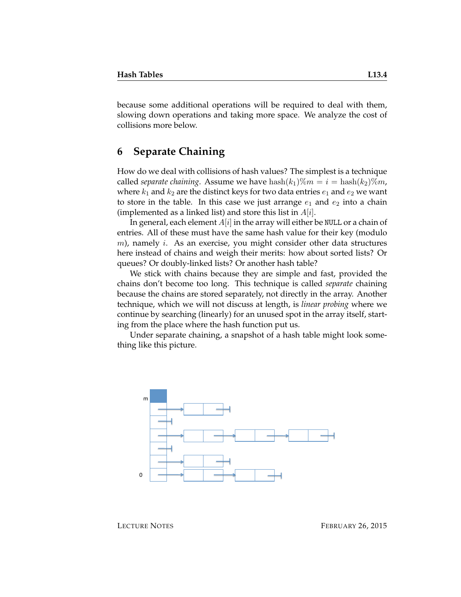because some additional operations will be required to deal with them, slowing down operations and taking more space. We analyze the cost of collisions more below.

#### **6 Separate Chaining**

How do we deal with collisions of hash values? The simplest is a technique called *separate chaining*. Assume we have  $\text{hash}(k_1)\%m = i = \text{hash}(k_2)\%m$ , where  $k_1$  and  $k_2$  are the distinct keys for two data entries  $e_1$  and  $e_2$  we want to store in the table. In this case we just arrange  $e_1$  and  $e_2$  into a chain (implemented as a linked list) and store this list in  $A[i]$ .

In general, each element  $A[i]$  in the array will either be NULL or a chain of entries. All of these must have the same hash value for their key (modulo  $m$ ), namely *i*. As an exercise, you might consider other data structures here instead of chains and weigh their merits: how about sorted lists? Or queues? Or doubly-linked lists? Or another hash table?

We stick with chains because they are simple and fast, provided the chains don't become too long. This technique is called *separate* chaining because the chains are stored separately, not directly in the array. Another technique, which we will not discuss at length, is *linear probing* where we continue by searching (linearly) for an unused spot in the array itself, starting from the place where the hash function put us.

Under separate chaining, a snapshot of a hash table might look something like this picture.



LECTURE NOTES FEBRUARY 26, 2015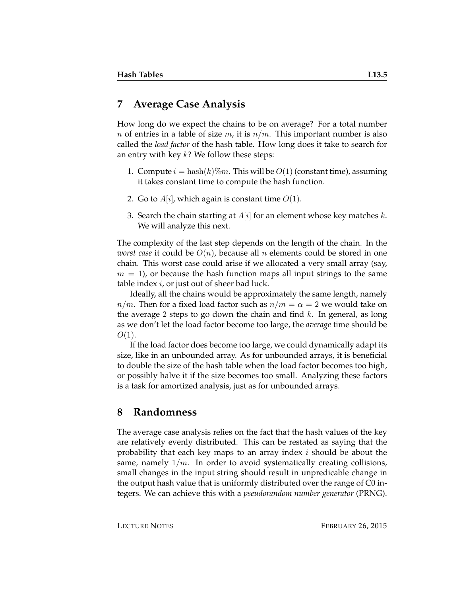#### **7 Average Case Analysis**

How long do we expect the chains to be on average? For a total number n of entries in a table of size m, it is  $n/m$ . This important number is also called the *load factor* of the hash table. How long does it take to search for an entry with key  $k$ ? We follow these steps:

- 1. Compute  $i = \text{hash}(k)\%m$ . This will be  $O(1)$  (constant time), assuming it takes constant time to compute the hash function.
- 2. Go to  $A[i]$ , which again is constant time  $O(1)$ .
- 3. Search the chain starting at  $A[i]$  for an element whose key matches k. We will analyze this next.

The complexity of the last step depends on the length of the chain. In the *worst case* it could be  $O(n)$ , because all n elements could be stored in one chain. This worst case could arise if we allocated a very small array (say,  $m = 1$ , or because the hash function maps all input strings to the same table index  $i$ , or just out of sheer bad luck.

Ideally, all the chains would be approximately the same length, namely  $n/m$ . Then for a fixed load factor such as  $n/m = \alpha = 2$  we would take on the average 2 steps to go down the chain and find  $k$ . In general, as long as we don't let the load factor become too large, the *average* time should be  $O(1)$ .

If the load factor does become too large, we could dynamically adapt its size, like in an unbounded array. As for unbounded arrays, it is beneficial to double the size of the hash table when the load factor becomes too high, or possibly halve it if the size becomes too small. Analyzing these factors is a task for amortized analysis, just as for unbounded arrays.

#### **8 Randomness**

The average case analysis relies on the fact that the hash values of the key are relatively evenly distributed. This can be restated as saying that the probability that each key maps to an array index  $i$  should be about the same, namely  $1/m$ . In order to avoid systematically creating collisions, small changes in the input string should result in unpredicable change in the output hash value that is uniformly distributed over the range of C0 integers. We can achieve this with a *pseudorandom number generator* (PRNG).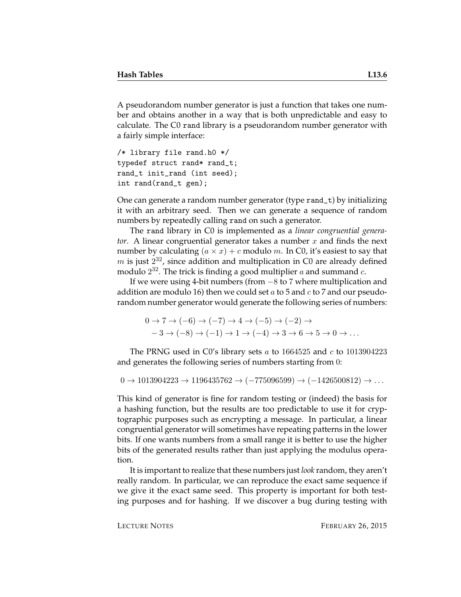A pseudorandom number generator is just a function that takes one number and obtains another in a way that is both unpredictable and easy to calculate. The C0 rand library is a pseudorandom number generator with a fairly simple interface:

```
/* library file rand.h0 */
typedef struct rand* rand_t;
rand_t init_rand (int seed);
int rand(rand_t gen);
```
One can generate a random number generator (type rand\_t) by initializing it with an arbitrary seed. Then we can generate a sequence of random numbers by repeatedly calling rand on such a generator.

The rand library in C0 is implemented as a *linear congruential generator.* A linear congruential generator takes a number x and finds the next number by calculating  $(a \times x) + c$  modulo m. In C0, it's easiest to say that  $m$  is just  $2^{32}$ , since addition and multiplication in C0 are already defined modulo  $2^{32}$ . The trick is finding a good multiplier  $a$  and summand  $c$ .

If we were using 4-bit numbers (from −8 to 7 where multiplication and addition are modulo 16) then we could set a to 5 and c to 7 and our pseudorandom number generator would generate the following series of numbers:

$$
0 \to 7 \to (-6) \to (-7) \to 4 \to (-5) \to (-2) \to
$$
  

$$
-3 \to (-8) \to (-1) \to 1 \to (-4) \to 3 \to 6 \to 5 \to 0 \to \dots
$$

The PRNG used in C0's library sets  $a$  to 1664525 and  $c$  to 1013904223 and generates the following series of numbers starting from 0:

 $0 \rightarrow 1013904223 \rightarrow 1196435762 \rightarrow (-775096599) \rightarrow (-1426500812) \rightarrow \dots$ 

This kind of generator is fine for random testing or (indeed) the basis for a hashing function, but the results are too predictable to use it for cryptographic purposes such as encrypting a message. In particular, a linear congruential generator will sometimes have repeating patterns in the lower bits. If one wants numbers from a small range it is better to use the higher bits of the generated results rather than just applying the modulus operation.

It is important to realize that these numbers just *look* random, they aren't really random. In particular, we can reproduce the exact same sequence if we give it the exact same seed. This property is important for both testing purposes and for hashing. If we discover a bug during testing with